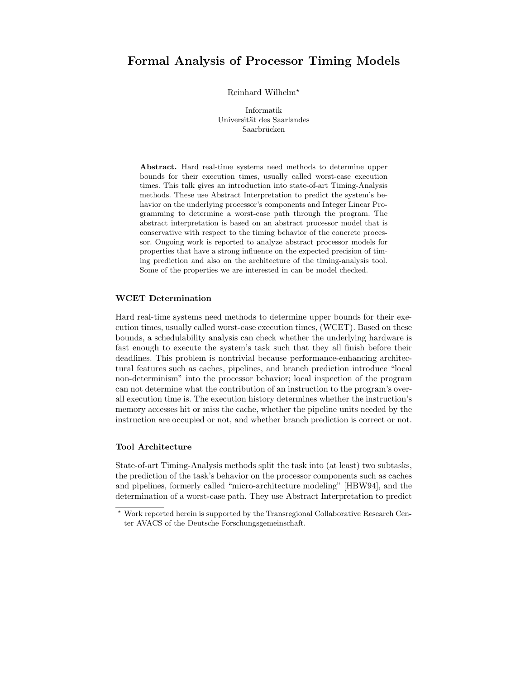# **Formal Analysis of Processor Timing Models**

Reinhard Wilhelm

Informatik Universität des Saarlandes Saarbrücken

**Abstract.** Hard real-time systems need methods to determine upper bounds for their execution times, usually called worst-case execution times. This talk gives an introduction into state-of-art Timing-Analysis methods. These use Abstract Interpretation to predict the system's behavior on the underlying processor's components and Integer Linear Programming to determine a worst-case path through the program. The abstract interpretation is based on an abstract processor model that is conservative with respect to the timing behavior of the concrete processor. Ongoing work is reported to analyze abstract processor models for properties that have a strong influence on the expected precision of timing prediction and also on the architecture of the timing-analysis tool. Some of the properties we are interested in can be model checked.

#### **WCET Determination**

Hard real-time systems need methods to determine upper bounds for their execution times, usually called worst-case execution times, (WCET). Based on these bounds, a schedulability analysis can check whether the underlying hardware is fast enough to execute the system's task such that they all finish before their deadlines. This problem is nontrivial because performance-enhancing architectural features such as caches, pipelines, and branch prediction introduce "local non-determinism" into the processor behavior; local inspection of the program can not determine what the contribution of an instruction to the program's overall execution time is. The execution history determines whether the instruction's memory accesses hit or miss the cache, whether the pipeline units needed by the instruction are occupied or not, and whether branch prediction is correct or not.

### **Tool Architecture**

State-of-art Timing-Analysis methods split the task into (at least) two subtasks, the prediction of the task's behavior on the processor components such as caches and pipelines, formerly called "micro-architecture modeling" [HBW94], and the determination of a worst-case path. They use Abstract Interpretation to predict

Work reported herein is supported by the Transregional Collaborative Research Center AVACS of the Deutsche Forschungsgemeinschaft.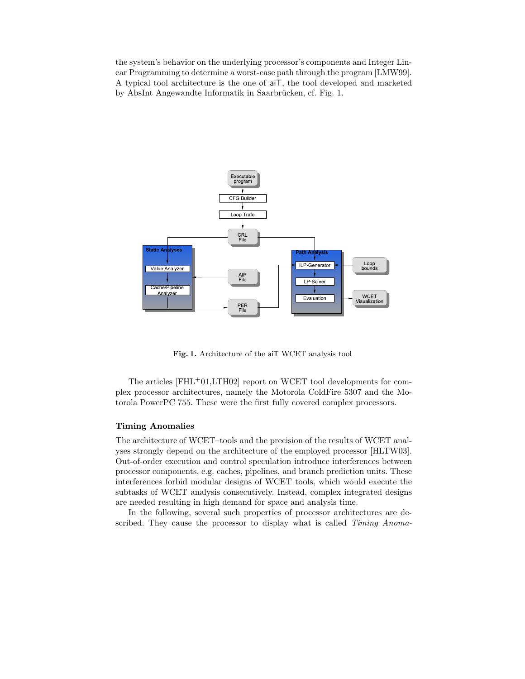the system's behavior on the underlying processor's components and Integer Linear Programming to determine a worst-case path through the program [LMW99]. A typical tool architecture is the one of aiT, the tool developed and marketed by AbsInt Angewandte Informatik in Saarbrücken, cf. Fig. 1.



**Fig. 1.** Architecture of the aiT WCET analysis tool

The articles [FHL+01,LTH02] report on WCET tool developments for complex processor architectures, namely the Motorola ColdFire 5307 and the Motorola PowerPC 755. These were the first fully covered complex processors.

#### **Timing Anomalies**

The architecture of WCET–tools and the precision of the results of WCET analyses strongly depend on the architecture of the employed processor [HLTW03]. Out-of-order execution and control speculation introduce interferences between processor components, e.g. caches, pipelines, and branch prediction units. These interferences forbid modular designs of WCET tools, which would execute the subtasks of WCET analysis consecutively. Instead, complex integrated designs are needed resulting in high demand for space and analysis time.

In the following, several such properties of processor architectures are described. They cause the processor to display what is called *Timing Anoma-*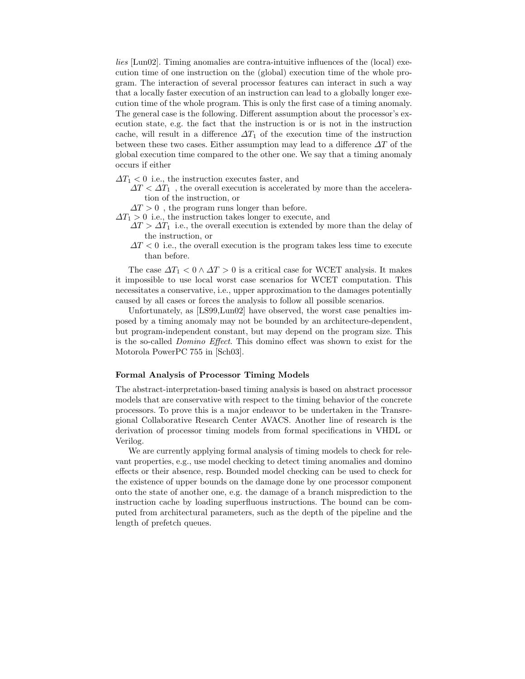*lies* [Lun02]. Timing anomalies are contra-intuitive influences of the (local) execution time of one instruction on the (global) execution time of the whole program. The interaction of several processor features can interact in such a way that a locally faster execution of an instruction can lead to a globally longer execution time of the whole program. This is only the first case of a timing anomaly. The general case is the following. Different assumption about the processor's execution state, e.g. the fact that the instruction is or is not in the instruction cache, will result in a difference  $\Delta T_1$  of the execution time of the instruction between these two cases. Either assumption may lead to a difference  $\Delta T$  of the global execution time compared to the other one. We say that a timing anomaly occurs if either

- $\Delta T_1$  < 0 i.e., the instruction executes faster, and
	- $\Delta T < \Delta T_1$ , the overall execution is accelerated by more than the acceleration of the instruction, or
	- $\Delta T > 0$ , the program runs longer than before.
- $\Delta T_1 > 0$  i.e., the instruction takes longer to execute, and
	- $\Delta T > \Delta T_1$  i.e., the overall execution is extended by more than the delay of the instruction, or
	- $\Delta T < 0$  i.e., the overall execution is the program takes less time to execute than before.

The case  $\Delta T_1 < 0 \wedge \Delta T > 0$  is a critical case for WCET analysis. It makes it impossible to use local worst case scenarios for WCET computation. This necessitates a conservative, i.e., upper approximation to the damages potentially caused by all cases or forces the analysis to follow all possible scenarios.

Unfortunately, as [LS99,Lun02] have observed, the worst case penalties imposed by a timing anomaly may not be bounded by an architecture-dependent, but program-independent constant, but may depend on the program size. This is the so-called *Domino Effect*. This domino effect was shown to exist for the Motorola PowerPC 755 in [Sch03].

#### **Formal Analysis of Processor Timing Models**

The abstract-interpretation-based timing analysis is based on abstract processor models that are conservative with respect to the timing behavior of the concrete processors. To prove this is a major endeavor to be undertaken in the Transregional Collaborative Research Center AVACS. Another line of research is the derivation of processor timing models from formal specifications in VHDL or Verilog.

We are currently applying formal analysis of timing models to check for relevant properties, e.g., use model checking to detect timing anomalies and domino effects or their absence, resp. Bounded model checking can be used to check for the existence of upper bounds on the damage done by one processor component onto the state of another one, e.g. the damage of a branch misprediction to the instruction cache by loading superfluous instructions. The bound can be computed from architectural parameters, such as the depth of the pipeline and the length of prefetch queues.